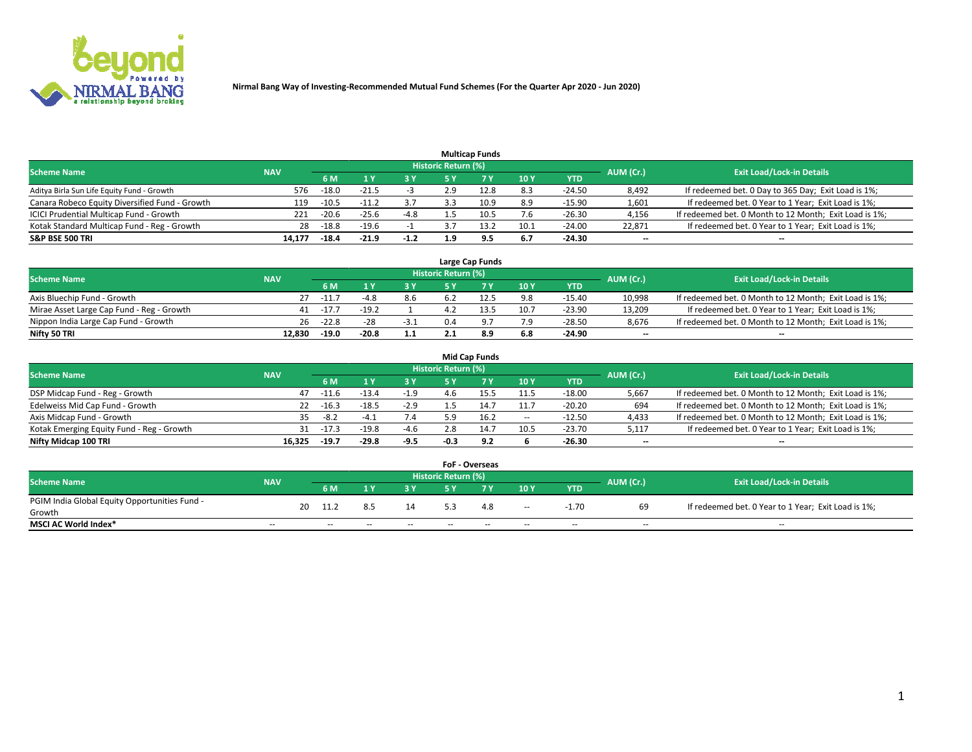

|                                                |            |         |         |        |                     | <b>Multicap Funds</b> |      |          |                          |                                                        |
|------------------------------------------------|------------|---------|---------|--------|---------------------|-----------------------|------|----------|--------------------------|--------------------------------------------------------|
| <b>Scheme Name</b>                             | <b>NAV</b> |         |         |        | Historic Return (%) |                       |      |          | AUM (Cr.)                | <b>Exit Load/Lock-in Details</b>                       |
|                                                |            | 6 M     |         | 73 Y   | 5 ۷                 |                       | 10 Y | YTD      |                          |                                                        |
| Aditya Birla Sun Life Equity Fund - Growth     | 576        | $-18.0$ | $-21.5$ |        | 2.9                 | 12.8                  | 8.3  | $-24.50$ | 8,492                    | If redeemed bet. 0 Day to 365 Day; Exit Load is 1%;    |
| Canara Robeco Equity Diversified Fund - Growth | 119        | $-10.5$ | $-11.2$ | 3.7    | 3.3                 | 10.9                  | 8.9  | $-15.90$ | 1,601                    | If redeemed bet. 0 Year to 1 Year; Exit Load is 1%;    |
| ICICI Prudential Multicap Fund - Growth        | 221        | $-20.6$ | $-25.6$ | $-4.8$ |                     |                       | 7.6  | $-26.30$ | 4,156                    | If redeemed bet. 0 Month to 12 Month; Exit Load is 1%; |
| Kotak Standard Multicap Fund - Reg - Growth    | 28         | $-18.8$ | $-19.6$ |        |                     | 13.2                  | 10.1 | $-24.00$ | 22.871                   | If redeemed bet. 0 Year to 1 Year; Exit Load is 1%;    |
| <b>S&amp;P BSE 500 TRI</b>                     | 14,177     | $-18.4$ | $-21.9$ | $-1.2$ | 1.9                 | 9.5                   | 6.7  | -24.30   | $\overline{\phantom{a}}$ | --                                                     |

|                                           |            |         |         |        |                     | Large Cap Funds |      |            |           |                                                        |
|-------------------------------------------|------------|---------|---------|--------|---------------------|-----------------|------|------------|-----------|--------------------------------------------------------|
| <b>Scheme Name</b>                        | <b>NAV</b> |         |         |        | Historic Return (%) |                 |      |            | AUM (Cr.) | <b>Exit Load/Lock-in Details</b>                       |
|                                           |            | 6 M     |         | 3 Y.   | 5 ٧                 |                 | 10Y  | <b>YTD</b> |           |                                                        |
| Axis Bluechip Fund - Growth               |            | -11.    |         | 8.6    |                     | 12.5            | 9.8  | $-15.40$   | 10,998    | If redeemed bet. 0 Month to 12 Month; Exit Load is 1%; |
| Mirae Asset Large Cap Fund - Reg - Growth | 41         | $-17.7$ | $-19.2$ |        |                     | 13.5            | 10.7 | $-23.90$   | 13.209    | If redeemed bet. 0 Year to 1 Year; Exit Load is 1%;    |
| Nippon India Large Cap Fund - Growth      | 26         | $-22.8$ | $-28$   | $-3.1$ |                     |                 | 7.9  | $-28.50$   | 8.676     | If redeemed bet. 0 Month to 12 Month; Exit Load is 1%; |
| Nifty 50 TRI                              | 12.830     | $-19.0$ | $-20.8$ | 1.1    |                     | 8.9             | 6.8  | $-24.90$   | $- -$     | $\overline{\phantom{a}}$                               |

|                                           |            |         |         |        |                            | <b>Mid Cap Funds</b> |        |            |                          |                                                        |
|-------------------------------------------|------------|---------|---------|--------|----------------------------|----------------------|--------|------------|--------------------------|--------------------------------------------------------|
| <b>Scheme Name</b>                        | <b>NAV</b> |         |         |        | <b>Historic Return (%)</b> |                      |        |            | AUM (Cr.)                | <b>Exit Load/Lock-in Details</b>                       |
|                                           |            | 6 M     |         | 3 Y    | 5 Y                        |                      | 10 Y   | <b>YTD</b> |                          |                                                        |
| DSP Midcap Fund - Reg - Growth            | 47         | $-11.6$ | $-13.4$ | $-1.9$ | 4 h                        | 15.5                 | 11.5   | $-18.00$   | 5,667                    | If redeemed bet. 0 Month to 12 Month; Exit Load is 1%; |
| Edelweiss Mid Cap Fund - Growth           | 22         | $-16.3$ | $-18.5$ | $-2.9$ |                            | 14.7                 | 11.7   | $-20.20$   | 694                      | If redeemed bet. 0 Month to 12 Month; Exit Load is 1%; |
| Axis Midcap Fund - Growth                 | 35.        | $-8.2$  | $-4.1$  | 7.4    | ה ב                        | 16.2                 | $\sim$ | $-12.50$   | 4,433                    | If redeemed bet. 0 Month to 12 Month; Exit Load is 1%; |
| Kotak Emerging Equity Fund - Reg - Growth | 31         | $-17.3$ | $-19.8$ | $-4.6$ |                            | 14.7                 | 10.5   | $-23.70$   | 5,117                    | If redeemed bet. 0 Year to 1 Year; Exit Load is 1%;    |
| Nifty Midcap 100 TRI                      | 16.325     | $-19.7$ | $-29.8$ | $-9.5$ | -0.3                       | 9.2                  |        | $-26.30$   | $\overline{\phantom{m}}$ | $- -$                                                  |

|                                               |                          |    |        |       |       |                            | <b>FoF - Overseas</b> |                          |            |                          |                                                     |
|-----------------------------------------------|--------------------------|----|--------|-------|-------|----------------------------|-----------------------|--------------------------|------------|--------------------------|-----------------------------------------------------|
| <b>Scheme Name</b>                            | <b>NAV</b>               |    |        |       |       | <b>Historic Return (%)</b> |                       |                          |            | AUM (Cr.)                | <b>Exit Load/Lock-in Details</b>                    |
|                                               |                          |    | 6 M    |       | 2 V.  | C V                        |                       | 10Y                      | <b>YTD</b> |                          |                                                     |
| PGIM India Global Equity Opportunities Fund - |                          | 20 | 11.2   | 8.5   | 14    |                            | 4.8                   | $\sim$                   | $-1.70$    | 69                       | If redeemed bet. 0 Year to 1 Year; Exit Load is 1%; |
| Growth                                        |                          |    |        |       |       |                            |                       |                          |            |                          |                                                     |
| <b>MSCI AC World Index*</b>                   | $\overline{\phantom{a}}$ |    | $\sim$ | $- -$ | $- -$ | $\sim$                     | $- -$                 | $\overline{\phantom{a}}$ | $\sim$     | $\overline{\phantom{m}}$ | $\sim$                                              |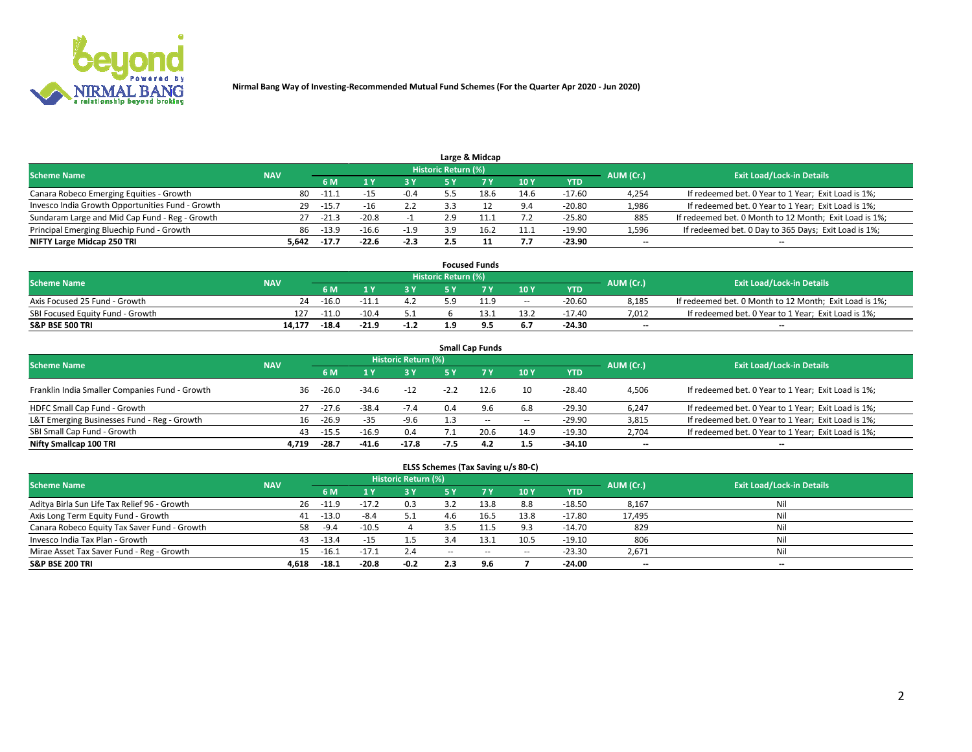

|                                                  |            |         |         |            |                     | Large & Midcap |      |            |           |                                                        |
|--------------------------------------------------|------------|---------|---------|------------|---------------------|----------------|------|------------|-----------|--------------------------------------------------------|
| <b>Scheme Name</b>                               | <b>NAV</b> |         |         |            | Historic Return (%) |                |      |            | AUM (Cr.) | <b>Exit Load/Lock-in Details</b>                       |
|                                                  |            | 6 M     |         | <b>3 Y</b> | 5 Y                 |                | 10Y  | <b>YTD</b> |           |                                                        |
| Canara Robeco Emerging Equities - Growth         | 80         | $-11.1$ | -15     | $-0.4$     |                     |                | 14.6 | $-17.60$   | 4,254     | If redeemed bet. 0 Year to 1 Year; Exit Load is 1%;    |
| Invesco India Growth Opportunities Fund - Growth | 29         | $-15.$  | -16     | 2.2        |                     |                | 9.4  | $-20.80$   | 1,986     | If redeemed bet. 0 Year to 1 Year; Exit Load is 1%;    |
| Sundaram Large and Mid Cap Fund - Reg - Growth   | 27         | $-21.3$ | $-20.8$ |            | 2.9                 |                |      | $-25.80$   | 885       | If redeemed bet. 0 Month to 12 Month; Exit Load is 1%; |
| Principal Emerging Bluechip Fund - Growth        | 86         | $-13.9$ | $-16.6$ | $-1.9$     | 3.9                 |                | 11.1 | $-19.90$   | 1,596     | If redeemed bet. 0 Day to 365 Days; Exit Load is 1%;   |
| NIFTY Large Midcap 250 TRI                       | 5.642      | $-17.7$ | $-22.6$ | $-2.3$     |                     |                | 7.7  | -23.90     | $-$       | --                                                     |

|                                  |            |         |         |        |                     | <b>Focused Funds</b> |        |            |           |                                                        |
|----------------------------------|------------|---------|---------|--------|---------------------|----------------------|--------|------------|-----------|--------------------------------------------------------|
| <b>Scheme Name</b>               | <b>NAV</b> |         |         |        | Historic Return (%) |                      |        |            | AUM (Cr.) | <b>Exit Load/Lock-in Details</b>                       |
|                                  |            | 6 M     |         |        |                     |                      | 10Y    | <b>YTD</b> |           |                                                        |
| Axis Focused 25 Fund - Growth    | 24         | $-16.0$ | $-11.1$ | 4.2    | 5. u                | 11.9                 | $\sim$ | $-20.60$   | 8.185     | If redeemed bet. 0 Month to 12 Month; Exit Load is 1%; |
| SBI Focused Equity Fund - Growth | 127        | $-11.0$ | $-10.4$ |        |                     |                      | 13.2   | -17.40     | 7.012     | If redeemed bet. 0 Year to 1 Year; Exit Load is 1%;    |
| <b>S&amp;P BSE 500 TRI</b>       | 14.177     | $-18.4$ | $-21.9$ | $-1.2$ | 1 Q                 | ۰                    | 6.7    | $-24.30$   | $- -$     | $\overline{\phantom{a}}$                               |

| <b>Small Cap Funds</b>                                                                                          |       |         |         |         |        |           |       |            |                          |                                                     |  |  |  |  |
|-----------------------------------------------------------------------------------------------------------------|-------|---------|---------|---------|--------|-----------|-------|------------|--------------------------|-----------------------------------------------------|--|--|--|--|
| <b>Historic Return (%)</b><br><b>Exit Load/Lock-in Details</b><br><b>Scheme Name</b><br><b>NAV</b><br>AUM (Cr.) |       |         |         |         |        |           |       |            |                          |                                                     |  |  |  |  |
|                                                                                                                 |       | 6 M     |         | 3 Y     | 5 Y    | <b>7Y</b> | 10Y   | <b>YTD</b> |                          |                                                     |  |  |  |  |
| Franklin India Smaller Companies Fund - Growth                                                                  | 36    | $-26.0$ | $-34.6$ | $-12$   | $-2.2$ | 12.6      | 10    | $-28.40$   | 4,506                    | If redeemed bet. 0 Year to 1 Year; Exit Load is 1%; |  |  |  |  |
| HDFC Small Cap Fund - Growth                                                                                    | 27    | $-27.6$ | $-38.4$ | $-7.4$  | 0.4    | 9.6       | 6.8   | $-29.30$   | 6,247                    | If redeemed bet. 0 Year to 1 Year; Exit Load is 1%; |  |  |  |  |
| L&T Emerging Businesses Fund - Reg - Growth                                                                     | 16    | $-26.9$ | $-35$   | $-9.6$  |        | $- -$     | $\!-$ | $-29.90$   | 3,815                    | If redeemed bet. 0 Year to 1 Year; Exit Load is 1%; |  |  |  |  |
| SBI Small Cap Fund - Growth                                                                                     | 43    | $-15.5$ | $-16.9$ | 0.4     |        | 20.6      | 14.9  | $-19.30$   | 2,704                    | If redeemed bet. 0 Year to 1 Year; Exit Load is 1%; |  |  |  |  |
| Nifty Smallcap 100 TRI                                                                                          | 4.719 | $-28.7$ | -41.6   | $-17.8$ | $-7.5$ | 4.2       | 1.5   | -34.10     | $\overline{\phantom{a}}$ | --                                                  |  |  |  |  |

## **ELSS Schemes (Tax Saving u/s 80-C)**

| <b>Scheme Name</b>                           | <b>NAV</b> |         |         | <b>Historic Return (%)</b> |        |       |                          |          | AUM (Cr.) | <b>Exit Load/Lock-in Details</b> |
|----------------------------------------------|------------|---------|---------|----------------------------|--------|-------|--------------------------|----------|-----------|----------------------------------|
|                                              |            | 6 M     |         | <b>3Y</b>                  | 5 Y    |       | 10Y                      | YTD      |           |                                  |
| Aditya Birla Sun Life Tax Relief 96 - Growth | 26         | $-11.9$ | $-17.2$ | 0.3                        |        | 13.8  | 8.8                      | $-18.50$ | 8,167     | Nil                              |
| Axis Long Term Equity Fund - Growth          | 41         | $-13.0$ | $-8.4$  | 5.1                        | 4.6    | 16.5  | 13.8                     | $-17.80$ | 17,495    | Nil                              |
| Canara Robeco Equity Tax Saver Fund - Growth | 58         | $-9.4$  | $-10.5$ |                            |        | 11.5  | 9.3                      | $-14.70$ | 829       | Nil                              |
| Invesco India Tax Plan - Growth              | 43         | $-13.4$ | -15     | $1.5\,$                    |        | 13.1  | 10.5                     | $-19.10$ | 806       | Nil                              |
| Mirae Asset Tax Saver Fund - Reg - Growth    | 15         | $-16.1$ | $-17.1$ | 2.4                        | $\sim$ | $- -$ | $\overline{\phantom{a}}$ | $-23.30$ | 2,671     | Nil                              |
| <b>S&amp;P BSE 200 TRI</b>                   | 4,618      | $-18.1$ | $-20.8$ | $-0.2$                     |        | 9.6   |                          | $-24.00$ | $- -$     | $\overline{\phantom{a}}$         |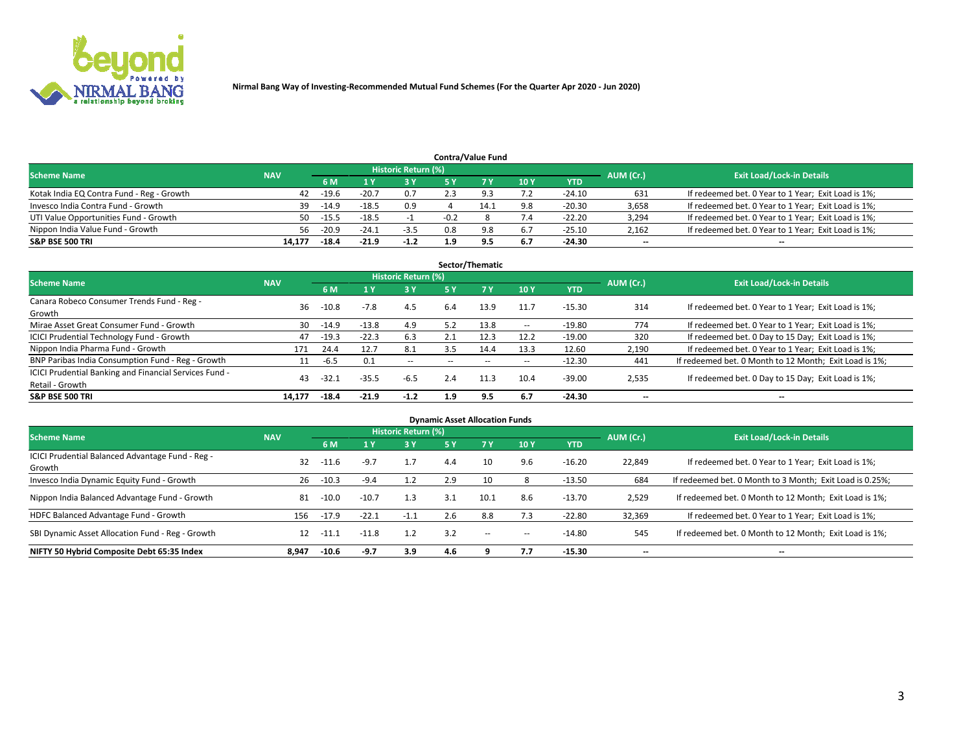

| <b>Contra/Value Fund</b>                  |            |                                  |         |        |        |     |     |            |       |                                                     |  |  |  |
|-------------------------------------------|------------|----------------------------------|---------|--------|--------|-----|-----|------------|-------|-----------------------------------------------------|--|--|--|
| <b>Scheme Name</b>                        | AUM (Cr.)  | <b>Exit Load/Lock-in Details</b> |         |        |        |     |     |            |       |                                                     |  |  |  |
|                                           | <b>NAV</b> | 6 M                              |         | 73 Y   |        |     | 10Y | <b>YTD</b> |       |                                                     |  |  |  |
| Kotak India EQ Contra Fund - Reg - Growth | 42         | $-19.6$                          | $-20.7$ | 0.7    | 2.3    | Q3  | 7.2 | $-24.10$   | 631   | If redeemed bet. 0 Year to 1 Year; Exit Load is 1%; |  |  |  |
| Invesco India Contra Fund - Growth        | 39         | $-14.9$                          | $-18.5$ | 0.9    |        |     | 9.8 | $-20.30$   | 3,658 | If redeemed bet. 0 Year to 1 Year; Exit Load is 1%; |  |  |  |
| UTI Value Opportunities Fund - Growth     | 50         | $-15.5$                          | $-18.5$ |        | $-0.2$ |     | 7.4 | $-22.20$   | 3,294 | If redeemed bet. 0 Year to 1 Year; Exit Load is 1%; |  |  |  |
| Nippon India Value Fund - Growth          | 56.        | $-20.9$                          | $-24.1$ | $-3.5$ | 0.8    | 9.8 | 6.7 | $-25.10$   | 2,162 | If redeemed bet. 0 Year to 1 Year; Exit Load is 1%; |  |  |  |
| <b>S&amp;P BSE 500 TRI</b>                | 14,177     | -18.4                            | $-21.9$ | $-1.2$ | 1.9    | 9.5 | 6.7 | $-24.30$   | $- -$ | $\overline{\phantom{a}}$                            |  |  |  |

| Sector/Thematic                                                           |            |         |         |                     |                          |                          |                          |          |                          |                                                        |  |  |  |
|---------------------------------------------------------------------------|------------|---------|---------|---------------------|--------------------------|--------------------------|--------------------------|----------|--------------------------|--------------------------------------------------------|--|--|--|
| <b>Scheme Name</b>                                                        | <b>NAV</b> |         |         | Historic Return (%) |                          |                          |                          |          | AUM (Cr.)                | <b>Exit Load/Lock-in Details</b>                       |  |  |  |
|                                                                           |            | 6 M     |         | <b>3Y</b>           | 5 Y                      | 7Y                       | 10Y                      | YTD      |                          |                                                        |  |  |  |
| Canara Robeco Consumer Trends Fund - Reg -<br>Growth                      | 36         | $-10.8$ | $-7.8$  | 4.5                 | 6.4                      | 13.9                     | 11.7                     | $-15.30$ | 314                      | If redeemed bet. 0 Year to 1 Year; Exit Load is 1%;    |  |  |  |
| Mirae Asset Great Consumer Fund - Growth                                  | 30         | $-14.9$ | $-13.8$ | 4.9                 | 5.2                      | 13.8                     | $\overline{\phantom{a}}$ | $-19.80$ | 774                      | If redeemed bet. 0 Year to 1 Year; Exit Load is 1%;    |  |  |  |
| <b>ICICI Prudential Technology Fund - Growth</b>                          | 47         | $-19.3$ | $-22.3$ | 6.3                 | 2.1                      | 12.3                     | 12.2                     | $-19.00$ | 320                      | If redeemed bet. 0 Day to 15 Day; Exit Load is 1%;     |  |  |  |
| Nippon India Pharma Fund - Growth                                         | 171        | 24.4    | 12.7    | 8.1                 | 3.5                      | 14.4                     | 13.3                     | 12.60    | 2,190                    | If redeemed bet. 0 Year to 1 Year; Exit Load is 1%;    |  |  |  |
| BNP Paribas India Consumption Fund - Reg - Growth                         | 11         | $-6.5$  | 0.1     | $\sim$ $-$          | $\overline{\phantom{a}}$ | $\overline{\phantom{a}}$ | $\overline{\phantom{a}}$ | $-12.30$ | 441                      | If redeemed bet. 0 Month to 12 Month; Exit Load is 1%; |  |  |  |
| ICICI Prudential Banking and Financial Services Fund -<br>Retail - Growth | 43         | $-32.2$ | $-35.5$ | $-6.5$              | 2.4                      | 11.3                     | 10.4                     | $-39.00$ | 2,535                    | If redeemed bet. 0 Day to 15 Day; Exit Load is 1%;     |  |  |  |
| <b>S&amp;P BSE 500 TRI</b>                                                | 14.177     | $-18.4$ | $-21.9$ | $-1.2$              | 1.9                      | 9.5                      | 6.7                      | $-24.30$ | $\overline{\phantom{a}}$ | --                                                     |  |  |  |

| <b>Dynamic Asset Allocation Funds</b>                      |            |         |         |                            |     |           |     |            |           |                                                          |  |  |  |
|------------------------------------------------------------|------------|---------|---------|----------------------------|-----|-----------|-----|------------|-----------|----------------------------------------------------------|--|--|--|
| <b>Scheme Name</b>                                         | <b>NAV</b> |         |         | <b>Historic Return (%)</b> |     |           |     |            | AUM (Cr.) | <b>Exit Load/Lock-in Details</b>                         |  |  |  |
|                                                            |            | 6 M     |         | 3 Y                        | 5 Y | <b>7Y</b> | 10Y | <b>YTD</b> |           |                                                          |  |  |  |
| ICICI Prudential Balanced Advantage Fund - Reg -<br>Growth | 32         | $-11.6$ | $-9.7$  | 1.7                        | 4.4 |           | 9.6 | $-16.20$   | 22,849    | If redeemed bet. 0 Year to 1 Year; Exit Load is 1%;      |  |  |  |
| Invesco India Dynamic Equity Fund - Growth                 | 26         | $-10.3$ | $-9.4$  | 1.2                        | 2.9 |           |     | $-13.50$   | 684       | If redeemed bet. 0 Month to 3 Month; Exit Load is 0.25%; |  |  |  |
| Nippon India Balanced Advantage Fund - Growth              | 81         | $-10.0$ | $-10.7$ | 1.3                        | 3.1 | 10.1      | 8.6 | $-13.70$   | 2,529     | If redeemed bet. 0 Month to 12 Month; Exit Load is 1%;   |  |  |  |
| HDFC Balanced Advantage Fund - Growth                      | 156        | $-17.9$ | $-22.1$ | $-1.1$                     | 2.6 | 8.8       | 7.3 | $-22.80$   | 32,369    | If redeemed bet. 0 Year to 1 Year; Exit Load is 1%;      |  |  |  |
| SBI Dynamic Asset Allocation Fund - Reg - Growth           | 12         | $-11.1$ | $-11.8$ | 1.2                        | 3.2 | $\sim$    | -   | $-14.80$   | 545       | If redeemed bet. 0 Month to 12 Month; Exit Load is 1%;   |  |  |  |
| NIFTY 50 Hybrid Composite Debt 65:35 Index                 | 8.947      | $-10.6$ | $-9.7$  | 3.9                        | 4.6 |           | 7.7 | $-15.30$   | --        | --                                                       |  |  |  |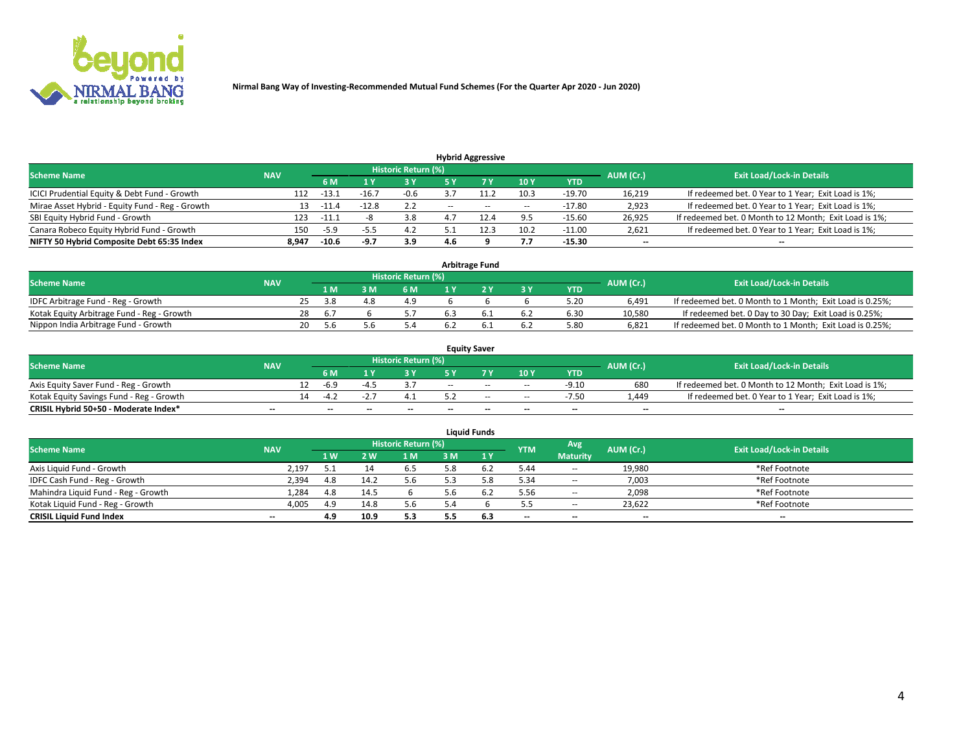

|                                                 |            |                                  |         |        |       | <b>Hybrid Aggressive</b> |                          |          |                          |                                                        |
|-------------------------------------------------|------------|----------------------------------|---------|--------|-------|--------------------------|--------------------------|----------|--------------------------|--------------------------------------------------------|
| <b>Scheme Name</b>                              | AUM (Cr.)  | <b>Exit Load/Lock-in Details</b> |         |        |       |                          |                          |          |                          |                                                        |
|                                                 | <b>NAV</b> | 6 M                              |         | 73 Y   | 5 ۷   |                          | 10Y                      | YTD      |                          |                                                        |
| ICICI Prudential Equity & Debt Fund - Growth    | 112        | $-13.3$                          | $-16.$  | $-0.6$ |       |                          | 10.3                     | $-19.70$ | 16,219                   | If redeemed bet. 0 Year to 1 Year; Exit Load is 1%;    |
| Mirae Asset Hybrid - Equity Fund - Reg - Growth | 13         | -11.                             | $-12.8$ | 2.2    | $- -$ | $- -$                    | $\overline{\phantom{a}}$ | $-17.80$ | 2,923                    | If redeemed bet. 0 Year to 1 Year; Exit Load is 1%;    |
| SBI Equity Hybrid Fund - Growth                 | 123        | $-11.1$                          |         | 3.8    |       |                          | 9.5                      | $-15.60$ | 26,925                   | If redeemed bet. 0 Month to 12 Month; Exit Load is 1%; |
| Canara Robeco Equity Hybrid Fund - Growth       | 150        | -5.9                             | -5.J    | 4.2    |       |                          | 10.2                     | $-11.00$ | 2,621                    | If redeemed bet. 0 Year to 1 Year; Exit Load is 1%;    |
| NIFTY 50 Hybrid Composite Debt 65:35 Index      | 8,947      | $-10.6$                          | -9.7    | 3.9    | 4.6   |                          | 7.7                      | $-15.30$ | $\overline{\phantom{a}}$ | --                                                     |

| <b>Arbitrage Fund</b>                      |            |    |      |  |                     |     |  |     |            |           |                                                          |  |  |
|--------------------------------------------|------------|----|------|--|---------------------|-----|--|-----|------------|-----------|----------------------------------------------------------|--|--|
| <b>Scheme Name</b>                         | <b>NAV</b> |    |      |  | Historic Return (%) |     |  |     |            | AUM (Cr.) | <b>Exit Load/Lock-in Details</b>                         |  |  |
|                                            |            |    | 1 M  |  | 6 M                 |     |  | 3 Y | <b>YTD</b> |           |                                                          |  |  |
| IDFC Arbitrage Fund - Reg - Growth         |            |    | -3.8 |  | 4.9                 |     |  |     | 5.20       | 6.491     | If redeemed bet. 0 Month to 1 Month; Exit Load is 0.25%; |  |  |
| Kotak Equity Arbitrage Fund - Reg - Growth |            | 28 | 6.7  |  |                     | 6.3 |  | 6.2 | 6.30       | 10.580    | If redeemed bet. 0 Day to 30 Day; Exit Load is 0.25%;    |  |  |
| Nippon India Arbitrage Fund - Growth       |            | 20 | 5.b  |  | 5.4                 |     |  | 6.2 | 5.80       | 6.821     | If redeemed bet. 0 Month to 1 Month; Exit Load is 0.25%; |  |  |

| <b>Equity Saver</b>                      |            |    |                          |                          |                     |        |       |                          |                          |           |                                                        |  |  |  |
|------------------------------------------|------------|----|--------------------------|--------------------------|---------------------|--------|-------|--------------------------|--------------------------|-----------|--------------------------------------------------------|--|--|--|
| <b>Scheme Name</b>                       | <b>NAV</b> |    |                          |                          | Historic Return (%) |        |       |                          |                          | AUM (Cr.) | <b>Exit Load/Lock-in Details</b>                       |  |  |  |
|                                          |            |    | 6 M                      |                          |                     | E V    |       | 10Y                      | <b>YTD</b>               |           |                                                        |  |  |  |
| Axis Equity Saver Fund - Reg - Growth    |            |    | -6.9                     |                          |                     | $-$    | $-$   | $\overline{\phantom{a}}$ | $-9.10$                  | 680       | If redeemed bet. 0 Month to 12 Month; Exit Load is 1%; |  |  |  |
| Kotak Equity Savings Fund - Reg - Growth |            | 14 | $ \Lambda$               |                          |                     |        | $-$   | $\sim$                   | $-7.50$                  | 1.449     | If redeemed bet. 0 Year to 1 Year; Exit Load is 1%;    |  |  |  |
| CRISIL Hybrid 50+50 - Moderate Index*    | $- -$      |    | $\overline{\phantom{a}}$ | $\overline{\phantom{a}}$ | $- -$               | $\sim$ | $- -$ | $\overline{\phantom{a}}$ | $\overline{\phantom{a}}$ | $- -$     | --                                                     |  |  |  |

| <b>Liquid Funds</b>                 |            |                |                |                            |     |     |            |                 |           |                                  |  |  |  |  |
|-------------------------------------|------------|----------------|----------------|----------------------------|-----|-----|------------|-----------------|-----------|----------------------------------|--|--|--|--|
| <b>Scheme Name</b>                  | <b>NAV</b> |                |                | <b>Historic Return (%)</b> |     |     | <b>YTM</b> | Avg             | AUM (Cr.) | <b>Exit Load/Lock-in Details</b> |  |  |  |  |
|                                     |            | 1 <sub>W</sub> | $\overline{M}$ | 1 M                        | ះ M | 1 Y |            | <b>Maturity</b> |           |                                  |  |  |  |  |
| Axis Liquid Fund - Growth           | 2.197      |                |                | 6.5                        | 5.8 |     | 5.44       | $\sim$          | 19,980    | *Ref Footnote                    |  |  |  |  |
| IDFC Cash Fund - Reg - Growth       | 2,394      | 4.8            | 14.2           | 5.6                        | 53  |     | 5.34       | $\sim$          | 7,003     | *Ref Footnote                    |  |  |  |  |
| Mahindra Liquid Fund - Reg - Growth | 1.284      | 4.8            | 14.5           |                            | b.b | 6.2 | 5.56       | $\sim$          | 2,098     | *Ref Footnote                    |  |  |  |  |
| Kotak Liquid Fund - Reg - Growth    | 4.005      | 4.9            | 14.8           | 5.6                        | 54  |     | 5.5        | $\sim$          | 23,622    | *Ref Footnote                    |  |  |  |  |
| <b>CRISIL Liquid Fund Index</b>     | $- -$      | 4.9            | 10.9           | 5.3                        |     | 6.3 | $-$        | $- -$           | $-$       | $-$                              |  |  |  |  |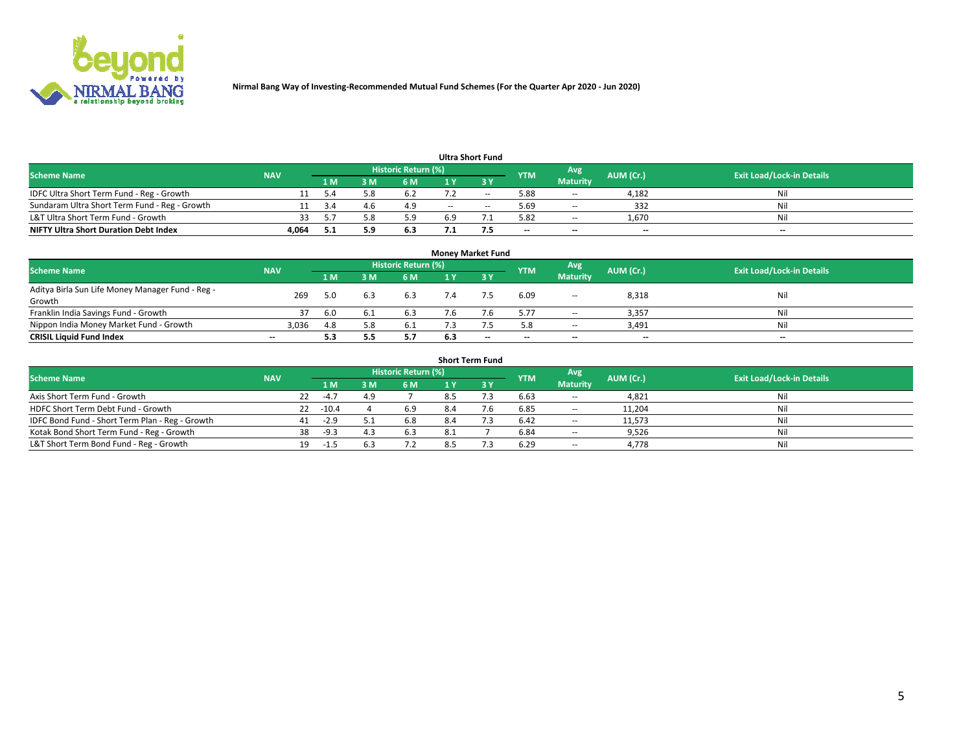

| <b>Ultra Short Fund</b>                                                                                                              |       |     |     |     |       |        |                          |                 |                          |     |  |  |  |  |
|--------------------------------------------------------------------------------------------------------------------------------------|-------|-----|-----|-----|-------|--------|--------------------------|-----------------|--------------------------|-----|--|--|--|--|
| <b>Historic Return (%)</b><br>Avg<br><b>Exit Load/Lock-in Details</b><br><b>NAV</b><br><b>YTM</b><br>AUM (Cr.)<br><b>Scheme Name</b> |       |     |     |     |       |        |                          |                 |                          |     |  |  |  |  |
|                                                                                                                                      |       | 1 M | : M | 6 M |       |        |                          | <b>Maturity</b> |                          |     |  |  |  |  |
| IDFC Ultra Short Term Fund - Reg - Growth                                                                                            |       |     |     | 6.2 |       | $\sim$ | 5.88                     | $\sim$          | 4,182                    | Nil |  |  |  |  |
| Sundaram Ultra Short Term Fund - Reg - Growth                                                                                        |       |     |     | 4.9 | $- -$ | $\sim$ | 5.69                     | $\sim$          | 332                      | Nil |  |  |  |  |
| L&T Ultra Short Term Fund - Growth                                                                                                   | 33    |     |     | 5.9 | 6.9   |        | 5.82                     | $\sim$          | 1,670                    | Nil |  |  |  |  |
| <b>NIFTY Ultra Short Duration Debt Index</b>                                                                                         | 4,064 |     |     | 6.3 |       |        | $\overline{\phantom{a}}$ | $-$             | $\overline{\phantom{a}}$ | $-$ |  |  |  |  |

| <b>Money Market Fund</b>                         |                          |     |     |                            |     |       |                          |                          |           |                                  |  |  |  |  |
|--------------------------------------------------|--------------------------|-----|-----|----------------------------|-----|-------|--------------------------|--------------------------|-----------|----------------------------------|--|--|--|--|
| <b>Scheme Name</b>                               | <b>NAV</b>               |     |     | <b>Historic Return (%)</b> |     |       | <b>YTM</b>               | Avg                      | AUM (Cr.) | <b>Exit Load/Lock-in Details</b> |  |  |  |  |
|                                                  |                          | 1 M | ١M  | 6 M                        |     | 3 Y   |                          | <b>Maturity</b>          |           |                                  |  |  |  |  |
| Aditya Birla Sun Life Money Manager Fund - Reg - | 269                      | 5.0 | 6.3 | 6.3                        |     |       | 6.09                     | $\overline{\phantom{a}}$ | 8,318     | Nil                              |  |  |  |  |
| Growth                                           |                          |     |     |                            |     |       |                          |                          |           |                                  |  |  |  |  |
| Franklin India Savings Fund - Growth             |                          | 6.0 |     | 6.3                        |     |       | 5.77                     | $\sim$                   | 3,357     | Nil                              |  |  |  |  |
| Nippon India Money Market Fund - Growth          | 3,036                    | 4.8 |     | 6.1                        |     |       | 5.8                      | $\sim$                   | 3,491     | Nil                              |  |  |  |  |
| <b>CRISIL Liquid Fund Index</b>                  | $\overline{\phantom{a}}$ | 5.3 |     | 5.7                        | 6.3 | $- -$ | $\overline{\phantom{a}}$ | $-$                      | $- -$     | $-$                              |  |  |  |  |

| <b>Short Term Fund</b>                          |            |    |         |     |                     |     |             |            |                          |           |                                  |  |  |  |
|-------------------------------------------------|------------|----|---------|-----|---------------------|-----|-------------|------------|--------------------------|-----------|----------------------------------|--|--|--|
| <b>Scheme Name</b>                              | <b>NAV</b> |    |         |     | Historic Return (%) |     |             | <b>YTM</b> | Avg                      | AUM (Cr.) | <b>Exit Load/Lock-in Details</b> |  |  |  |
|                                                 |            |    | 4 M     | 3 M | <b>6M</b>           | 1 Y | <b>23 V</b> |            | <b>Maturity</b>          |           |                                  |  |  |  |
| Axis Short Term Fund - Growth                   |            | 22 | $-4.7$  | 4.9 |                     | 8.5 |             | 6.63       | $- -$                    | 4,821     | Nil                              |  |  |  |
| HDFC Short Term Debt Fund - Growth              |            | 22 | $-10.4$ |     | 6.9                 |     | 7.6         | 6.85       | $- -$                    | 11,204    | Nil                              |  |  |  |
| IDFC Bond Fund - Short Term Plan - Reg - Growth |            | 41 | $-2.9$  | 5.1 | 6.8                 | 8.4 |             | 6.42       | $\overline{\phantom{a}}$ | 11,573    | Nil                              |  |  |  |
| Kotak Bond Short Term Fund - Reg - Growth       |            | 38 | $-9.3$  | 4.3 | 6.3                 | 8.1 |             | 6.84       | $\overline{\phantom{a}}$ | 9,526     | Nil                              |  |  |  |
| L&T Short Term Bond Fund - Reg - Growth         |            | 19 | -1.5    |     |                     |     |             | 6.29       | $\overline{\phantom{a}}$ | 4,778     | Nil                              |  |  |  |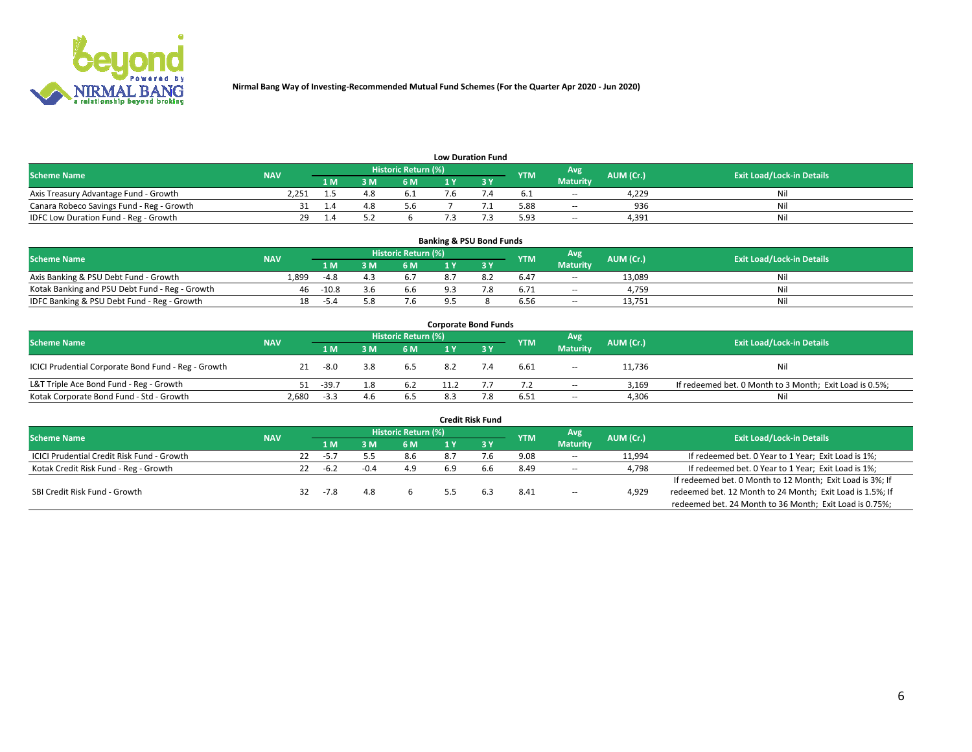

| <b>Low Duration Fund</b>                  |            |      |            |                     |  |  |            |                 |           |                                  |  |  |  |  |
|-------------------------------------------|------------|------|------------|---------------------|--|--|------------|-----------------|-----------|----------------------------------|--|--|--|--|
| <b>Scheme Name</b>                        | <b>NAV</b> |      |            | Historic Return (%) |  |  | <b>YTM</b> | Avg             | AUM (Cr.) | <b>Exit Load/Lock-in Details</b> |  |  |  |  |
|                                           |            | 1 M. | <b>እ M</b> | 6 M                 |  |  |            | <b>Maturity</b> |           |                                  |  |  |  |  |
| Axis Treasury Advantage Fund - Growth     | 2.251      |      |            |                     |  |  |            | $\sim$          | 4.229     | Nil                              |  |  |  |  |
| Canara Robeco Savings Fund - Reg - Growth |            |      |            | 5.6                 |  |  | 5.88       | $\sim$          | 936       | Nil                              |  |  |  |  |
| IDFC Low Duration Fund - Reg - Growth     | 29         |      |            |                     |  |  | 5.93       | $\sim$          | 4.391     | Nil                              |  |  |  |  |

| <b>Banking &amp; PSU Bond Funds</b>            |            |         |      |                            |  |     |            |                          |           |                                  |  |  |  |  |
|------------------------------------------------|------------|---------|------|----------------------------|--|-----|------------|--------------------------|-----------|----------------------------------|--|--|--|--|
| <b>Scheme Name</b>                             | <b>NAV</b> |         |      | <b>Historic Return (%)</b> |  |     | <b>YTM</b> | Avg                      | AUM (Cr.) | <b>Exit Load/Lock-in Details</b> |  |  |  |  |
|                                                |            | 1 M     | 8 M  | 6 M                        |  |     |            | <b>Maturity</b>          |           |                                  |  |  |  |  |
| Axis Banking & PSU Debt Fund - Growth          | 1.899      | $-4.8$  |      |                            |  |     | 6.47       | $- -$                    | 13.089    | Ni                               |  |  |  |  |
| Kotak Banking and PSU Debt Fund - Reg - Growth | 46.        | $-10.8$ | .3.b | 6.6                        |  | 7.8 | 6.71       | $\overline{\phantom{a}}$ | 4.759     | Ni                               |  |  |  |  |
| IDFC Banking & PSU Debt Fund - Reg - Growth    | 18         | -5.4    |      | 7.6                        |  |     | 6.56       | $\sim$                   | 13.751    | Ni                               |  |  |  |  |

|                                                     |            |         |     |                            | <b>Corporate Bond Funds</b> |     |            |                          |           |                                                         |
|-----------------------------------------------------|------------|---------|-----|----------------------------|-----------------------------|-----|------------|--------------------------|-----------|---------------------------------------------------------|
| <b>Scheme Name</b>                                  | <b>NAV</b> |         |     | <b>Historic Return (%)</b> |                             |     | <b>YTM</b> | Avg                      | AUM (Cr.) | <b>Exit Load/Lock-in Details</b>                        |
|                                                     |            | 1 M     | 3 M | 6 M                        |                             | 3Y  |            | <b>Maturity</b>          |           |                                                         |
| ICICI Prudential Corporate Bond Fund - Reg - Growth | 21         | -8.0    | 3.8 | 6.5                        | 8.2                         | 7.4 | 6.61       | $\overline{\phantom{a}}$ | 11,736    | Nil                                                     |
| L&T Triple Ace Bond Fund - Reg - Growth             | 51         | $-39.7$ | 1.8 | 6.2                        | 11.2                        |     | 7.2        | $\overline{\phantom{a}}$ | 3.169     | If redeemed bet. 0 Month to 3 Month; Exit Load is 0.5%; |
| Kotak Corporate Bond Fund - Std - Growth            | 2,680      | $-3.3$  | 4.6 | 6.5                        | 8.3                         | 7.8 | 6.51       | $\overline{\phantom{a}}$ | 4,306     | Nil                                                     |

|                                            |            |    |        |     |                     |     | <b>Credit Risk Fund</b> |            |                          |           |                                                           |
|--------------------------------------------|------------|----|--------|-----|---------------------|-----|-------------------------|------------|--------------------------|-----------|-----------------------------------------------------------|
| <b>Scheme Name</b>                         | <b>NAV</b> |    |        |     | Historic Return (%) |     |                         | <b>YTM</b> | Avg                      | AUM (Cr.) | <b>Exit Load/Lock-in Details</b>                          |
|                                            |            |    | 1 M /  |     | 6 M                 |     | 3Y                      |            | <b>Maturity</b>          |           |                                                           |
| ICICI Prudential Credit Risk Fund - Growth |            | 22 | $-5.7$ |     | 8.6                 | 8.7 |                         | 9.08       | $\overline{\phantom{a}}$ | 11,994    | If redeemed bet. 0 Year to 1 Year; Exit Load is 1%;       |
| Kotak Credit Risk Fund - Reg - Growth      |            | 22 | $-6.2$ |     | 4.9                 | 6.9 | b.b                     | 8.49       | $\sim$                   | 4,798     | If redeemed bet. 0 Year to 1 Year; Exit Load is 1%;       |
|                                            |            |    |        |     |                     |     |                         |            |                          |           | If redeemed bet. 0 Month to 12 Month; Exit Load is 3%; If |
| SBI Credit Risk Fund - Growth              |            | 32 | $-7.8$ | 4.8 |                     |     |                         | 8.41       | $\overline{\phantom{a}}$ | 4,929     | redeemed bet. 12 Month to 24 Month; Exit Load is 1.5%; If |
|                                            |            |    |        |     |                     |     |                         |            |                          |           | redeemed bet. 24 Month to 36 Month; Exit Load is 0.75%;   |